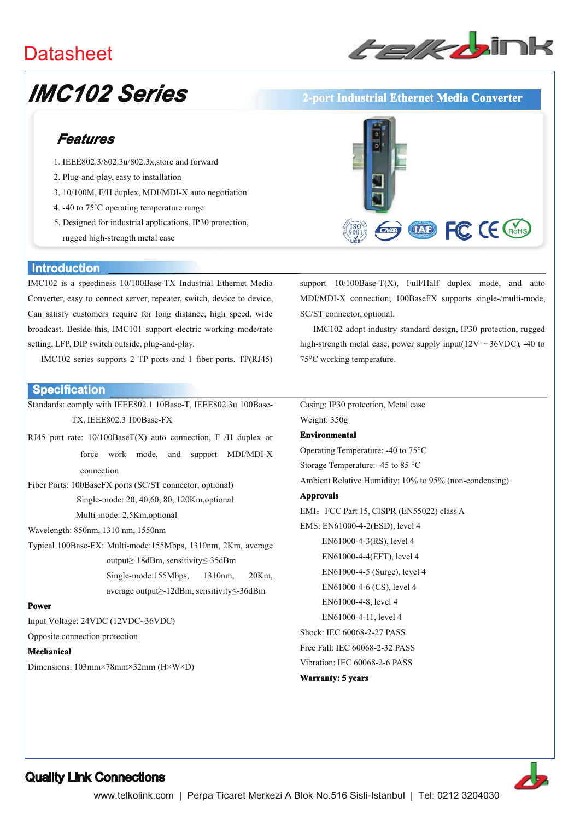## **Datasheet**



# **IMC102 Series**

## Features

- 1. IEEE802.3/802.3u/802.3x.store and forward
- 2. Plug-and-play, easy to installation
- 3. 10/100M, F/H duplex, MDI/MDI-X auto negotiation
- 4. -40 to 75°C operating temperature range
- 5. Designed for industrial applications. IP30 protection, rugged high-strength metal case

#### **Introduction**

IMC102 is a speediness 10/100Base-TX Industrial Ethernet Media Converter, easy to connect server, repeater, switch, device to device, Can satisfy customers require for long distance, high speed, wide broadcast. Beside this, IMC101 support electric working mode/rate setting, LFP, DIP switch outside, plug-and-play.

IMC102 series supports 2 TP ports and 1 fiber ports. TP(RJ45)

#### **Specification**

Standards: comply with IEEE802.1 10Base-T, IEEE802.3u 100Base-TX, IEEE802.3 100Base-FX

RJ45 port rate:  $10/100$ BaseT(X) auto connection, F /H duplex or force work mode, and support MDI/MDI-X connection

Fiber Ports: 100BaseFX ports (SC/ST connector, optional) Single-mode: 20, 40,60, 80, 120Km, optional Multi-mode: 2,5Km,optional

Wavelength: 850nm, 1310 nm, 1550nm

Typical 100Base-FX: Multi-mode:155Mbps, 1310nm, 2Km, average output>-18dBm, sensitivity<-35dBm Single-mode:155Mbps, 1310nm, 20Km, average output≥-12dBm, sensitivity≤-36dBm

#### **Power**

Input Voltage: 24VDC (12VDC~36VDC)

Opposite connection protection

#### Mechanical

Dimensions:  $103 \text{mm} \times 78 \text{mm} \times 32 \text{mm}$  ( $H \times W \times D$ )



2-port Industrial Ethernet Media Converter

support  $10/100$ Base-T(X), Full/Half duplex mode, and auto MDI/MDI-X connection; 100BaseFX supports single-/multi-mode, SC/ST connector, optional.

IMC102 adopt industry standard design, IP30 protection, rugged high-strength metal case, power supply input( $12V \sim 36VDC$ ), -40 to 75°C working temperature.

Casing: IP30 protection, Metal case Weight: 350g

#### **Environmental**

Operating Temperature: -40 to 75°C Storage Temperature: -45 to 85 °C

Ambient Relative Humidity: 10% to 95% (non-condensing)

#### **Approvals**

EMI: FCC Part 15, CISPR (EN55022) class A EMS: EN61000-4-2(ESD), level 4 EN61000-4-3(RS), level 4 EN61000-4-4(EFT), level 4 EN61000-4-5 (Surge), level 4 EN61000-4-6 (CS), level 4 EN61000-4-8, level 4 EN61000-4-11, level 4 Shock: IEC 60068-2-27 PASS Free Fall: IEC 60068-2-32 PASS Vibration: IEC 60068-2-6 PASS **Warranty: 5 years**